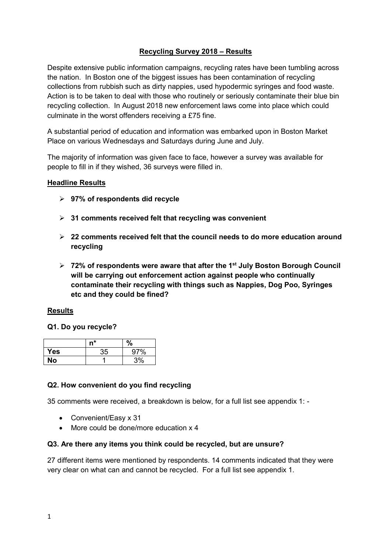# **Recycling Survey 2018 – Results**

Despite extensive public information campaigns, recycling rates have been tumbling across the nation. In Boston one of the biggest issues has been contamination of recycling collections from rubbish such as dirty nappies, used hypodermic syringes and food waste. Action is to be taken to deal with those who routinely or seriously contaminate their blue bin recycling collection. In August 2018 new enforcement laws come into place which could culminate in the worst offenders receiving a £75 fine.

A substantial period of education and information was embarked upon in Boston Market Place on various Wednesdays and Saturdays during June and July.

The majority of information was given face to face, however a survey was available for people to fill in if they wished, 36 surveys were filled in.

#### **Headline Results**

- **97% of respondents did recycle**
- **31 comments received felt that recycling was convenient**
- **22 comments received felt that the council needs to do more education around recycling**
- **72% of respondents were aware that after the 1st July Boston Borough Council will be carrying out enforcement action against people who continually contaminate their recycling with things such as Nappies, Dog Poo, Syringes etc and they could be fined?**

#### **Results**

### **Q1. Do you recycle?**

|            | n* | $\%$ |
|------------|----|------|
| <b>Yes</b> | 35 | 97%  |
| No         |    | 3%   |

#### **Q2. How convenient do you find recycling**

35 comments were received, a breakdown is below, for a full list see appendix 1: -

- Convenient/Easy x 31
- More could be done/more education x 4

#### **Q3. Are there any items you think could be recycled, but are unsure?**

27 different items were mentioned by respondents. 14 comments indicated that they were very clear on what can and cannot be recycled. For a full list see appendix 1.